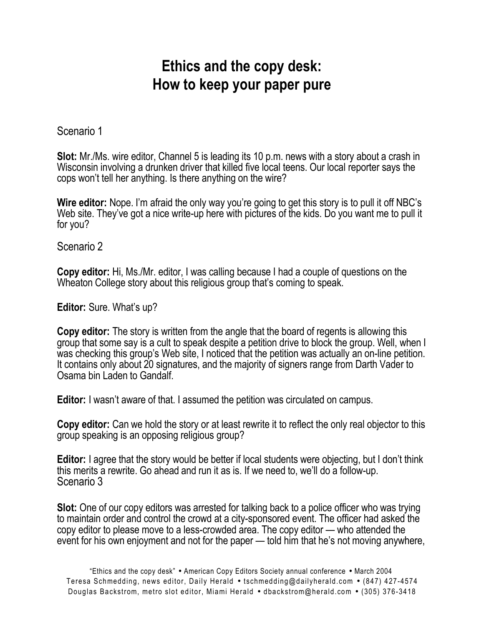# **Ethics and the copy desk: How to keep your paper pure**

#### Scenario 1

**Slot:** Mr./Ms. wire editor, Channel 5 is leading its 10 p.m. news with a story about a crash in Wisconsin involving a drunken driver that killed five local teens. Our local reporter says the cops won't tell her anything. Is there anything on the wire?

**Wire editor:** Nope. I'm afraid the only way you're going to get this story is to pull it off NBC's Web site. They've got a nice write-up here with pictures of the kids. Do you want me to pull it for you?

Scenario 2

**Copy editor:** Hi, Ms./Mr. editor, I was calling because I had a couple of questions on the Wheaton College story about this religious group that's coming to speak.

**Editor:** Sure. What's up?

**Copy editor:** The story is written from the angle that the board of regents is allowing this group that some say is a cult to speak despite a petition drive to block the group. Well, when I was checking this group's Web site, I noticed that the petition was actually an on-line petition. It contains only about 20 signatures, and the majority of signers range from Darth Vader to Osama bin Laden to Gandalf.

**Editor:** I wasn't aware of that. I assumed the petition was circulated on campus.

**Copy editor:** Can we hold the story or at least rewrite it to reflect the only real objector to this group speaking is an opposing religious group?

**Editor:** I agree that the story would be better if local students were objecting, but I don't think this merits a rewrite. Go ahead and run it as is. If we need to, we'll do a follow-up. Scenario 3

**Slot:** One of our copy editors was arrested for talking back to a police officer who was trying to maintain order and control the crowd at a city-sponsored event. The officer had asked the copy editor to please move to a less-crowded area. The copy editor — who attended the event for his own enjoyment and not for the paper — told him that he's not moving anywhere,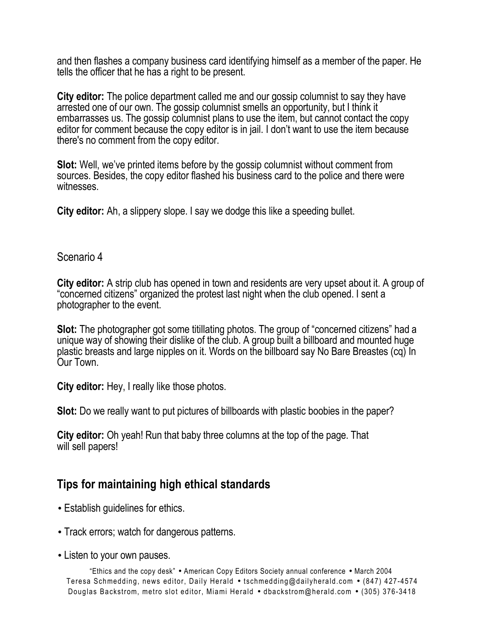and then flashes a company business card identifying himself as a member of the paper. He tells the officer that he has a right to be present.

**City editor:** The police department called me and our gossip columnist to say they have arrested one of our own. The gossip columnist smells an opportunity, but I think it embarrasses us. The gossip columnist plans to use the item, but cannot contact the copy editor for comment because the copy editor is in jail. I don't want to use the item because there's no comment from the copy editor.

**Slot:** Well, we've printed items before by the gossip columnist without comment from sources. Besides, the copy editor flashed his business card to the police and there were witnesses.

**City editor:** Ah, a slippery slope. I say we dodge this like a speeding bullet.

Scenario 4

**City editor:** A strip club has opened in town and residents are very upset about it. A group of "concerned citizens" organized the protest last night when the club opened. I sent a photographer to the event.

**Slot:** The photographer got some titillating photos. The group of "concerned citizens" had a unique way of showing their dislike of the club. A group built a billboard and mounted huge plastic breasts and large nipples on it. Words on the billboard say No Bare Breastes (cq) In Our Town.

**City editor:** Hey, I really like those photos.

**Slot:** Do we really want to put pictures of billboards with plastic boobies in the paper?

**City editor:** Oh yeah! Run that baby three columns at the top of the page. That will sell papers!

## **Tips for maintaining high ethical standards**

- Establish quidelines for ethics.
- Track errors; watch for dangerous patterns.
- Listen to your own pauses.

"Ethics and the copy desk" • American Copy Editors Society annual conference • March 2004 Teresa Schmedding, news editor, Daily Herald • tschmedding@dailyherald.com • (847) 427-4574 Douglas Backstrom, metro slot editor, Miami Herald • dbackstrom@herald.com • (305) 376-3418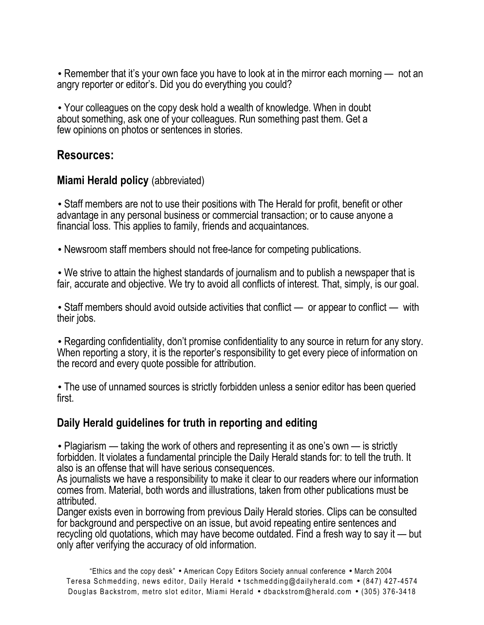• Remember that it's your own face you have to look at in the mirror each morning — not an angry reporter or editor's. Did you do everything you could?

• Your colleagues on the copy desk hold a wealth of knowledge. When in doubt about something, ask one of your colleagues. Run something past them. Get a few opinions on photos or sentences in stories.

#### **Resources:**

#### **Miami Herald policy (abbreviated)**

• Staff members are not to use their positions with The Herald for profit, benefit or other advantage in any personal business or commercial transaction; or to cause anyone a financial loss. This applies to family, friends and acquaintances.

• Newsroom staff members should not free-lance for competing publications.

• We strive to attain the highest standards of journalism and to publish a newspaper that is fair, accurate and objective. We try to avoid all conflicts of interest. That, simply, is our goal.

• Staff members should avoid outside activities that conflict — or appear to conflict — with their jobs.

• Regarding confidentiality, don't promise confidentiality to any source in return for any story. When reporting a story, it is the reporter's responsibility to get every piece of information on the record and every quote possible for attribution.

• The use of unnamed sources is strictly forbidden unless a senior editor has been queried first.

### **Daily Herald guidelines for truth in reporting and editing**

• Plagiarism — taking the work of others and representing it as one's own — is strictly forbidden. It violates a fundamental principle the Daily Herald stands for: to tell the truth. It also is an offense that will have serious consequences.

As journalists we have a responsibility to make it clear to our readers where our information comes from. Material, both words and illustrations, taken from other publications must be attributed.

Danger exists even in borrowing from previous Daily Herald stories. Clips can be consulted for background and perspective on an issue, but avoid repeating entire sentences and recycling old quotations, which may have become outdated. Find a fresh way to say it — but only after verifying the accuracy of old information.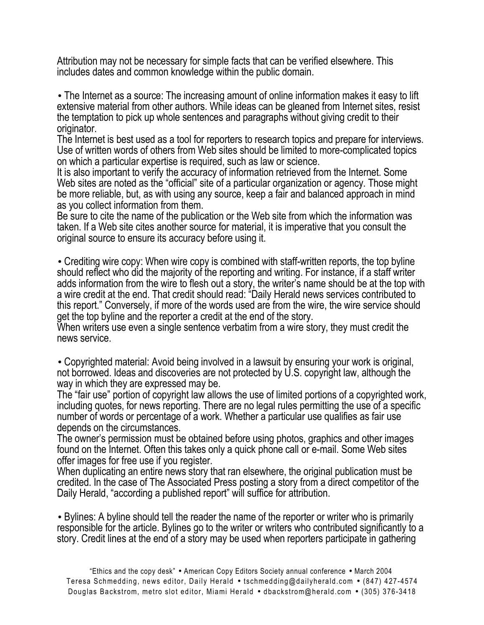Attribution may not be necessary for simple facts that can be verified elsewhere. This includes dates and common knowledge within the public domain.

• The Internet as a source: The increasing amount of online information makes it easy to lift extensive material from other authors. While ideas can be gleaned from Internet sites, resist the temptation to pick up whole sentences and paragraphs without giving credit to their originator.

The Internet is best used as a tool for reporters to research topics and prepare for interviews. Use of written words of others from Web sites should be limited to more-complicated topics on which a particular expertise is required, such as law or science.

It is also important to verify the accuracy of information retrieved from the Internet. Some Web sites are noted as the "official" site of a particular organization or agency. Those might be more reliable, but, as with using any source, keep a fair and balanced approach in mind as you collect information from them.

Be sure to cite the name of the publication or the Web site from which the information was taken. If a Web site cites another source for material, it is imperative that you consult the original source to ensure its accuracy before using it.

• Crediting wire copy: When wire copy is combined with staff-written reports, the top byline should reflect who did the majority of the reporting and writing. For instance, if a staff writer adds information from the wire to flesh out a story, the writer's name should be at the top with a wire credit at the end. That credit should read: "Daily Herald news services contributed to this report." Conversely, if more of the words used are from the wire, the wire service should get the top byline and the reporter a credit at the end of the story.

When writers use even a single sentence verbatim from a wire story, they must credit the news service.

• Copyrighted material: Avoid being involved in a lawsuit by ensuring your work is original, not borrowed. Ideas and discoveries are not protected by U.S. copyright law, although the way in which they are expressed may be.

The "fair use" portion of copyright law allows the use of limited portions of a copyrighted work, including quotes, for news reporting. There are no legal rules permitting the use of a specific number of words or percentage of a work. Whether a particular use qualifies as fair use depends on the circumstances.

The owner's permission must be obtained before using photos, graphics and other images found on the Internet. Often this takes only a quick phone call or e-mail. Some Web sites offer images for free use if you register.

When duplicating an entire news story that ran elsewhere, the original publication must be credited. In the case of The Associated Press posting a story from a direct competitor of the Daily Herald, "according a published report" will suffice for attribution.

• Bylines: A byline should tell the reader the name of the reporter or writer who is primarily responsible for the article. Bylines go to the writer or writers who contributed significantly to a story. Credit lines at the end of a story may be used when reporters participate in gathering